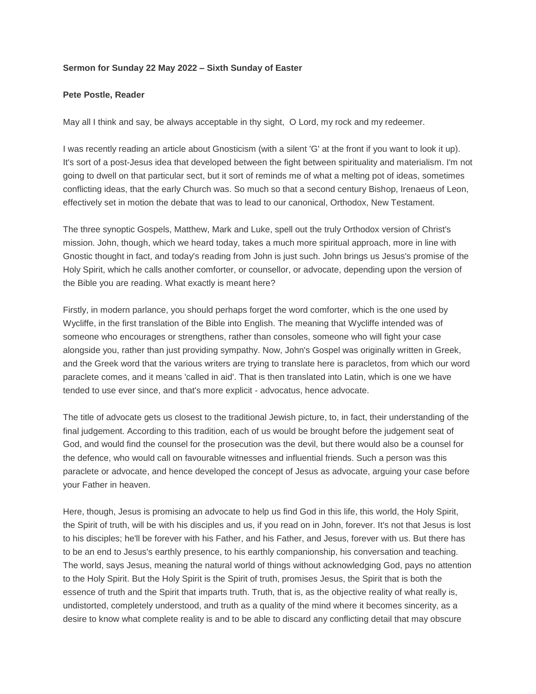## **Sermon for Sunday 22 May 2022 – Sixth Sunday of Easter**

## **Pete Postle, Reader**

May all I think and say, be always acceptable in thy sight, O Lord, my rock and my redeemer.

I was recently reading an article about Gnosticism (with a silent 'G' at the front if you want to look it up). It's sort of a post-Jesus idea that developed between the fight between spirituality and materialism. I'm not going to dwell on that particular sect, but it sort of reminds me of what a melting pot of ideas, sometimes conflicting ideas, that the early Church was. So much so that a second century Bishop, Irenaeus of Leon, effectively set in motion the debate that was to lead to our canonical, Orthodox, New Testament.

The three synoptic Gospels, Matthew, Mark and Luke, spell out the truly Orthodox version of Christ's mission. John, though, which we heard today, takes a much more spiritual approach, more in line with Gnostic thought in fact, and today's reading from John is just such. John brings us Jesus's promise of the Holy Spirit, which he calls another comforter, or counsellor, or advocate, depending upon the version of the Bible you are reading. What exactly is meant here?

Firstly, in modern parlance, you should perhaps forget the word comforter, which is the one used by Wycliffe, in the first translation of the Bible into English. The meaning that Wycliffe intended was of someone who encourages or strengthens, rather than consoles, someone who will fight your case alongside you, rather than just providing sympathy. Now, John's Gospel was originally written in Greek, and the Greek word that the various writers are trying to translate here is paracletos, from which our word paraclete comes, and it means 'called in aid'. That is then translated into Latin, which is one we have tended to use ever since, and that's more explicit - advocatus, hence advocate.

The title of advocate gets us closest to the traditional Jewish picture, to, in fact, their understanding of the final judgement. According to this tradition, each of us would be brought before the judgement seat of God, and would find the counsel for the prosecution was the devil, but there would also be a counsel for the defence, who would call on favourable witnesses and influential friends. Such a person was this paraclete or advocate, and hence developed the concept of Jesus as advocate, arguing your case before your Father in heaven.

Here, though, Jesus is promising an advocate to help us find God in this life, this world, the Holy Spirit, the Spirit of truth, will be with his disciples and us, if you read on in John, forever. It's not that Jesus is lost to his disciples; he'll be forever with his Father, and his Father, and Jesus, forever with us. But there has to be an end to Jesus's earthly presence, to his earthly companionship, his conversation and teaching. The world, says Jesus, meaning the natural world of things without acknowledging God, pays no attention to the Holy Spirit. But the Holy Spirit is the Spirit of truth, promises Jesus, the Spirit that is both the essence of truth and the Spirit that imparts truth. Truth, that is, as the objective reality of what really is, undistorted, completely understood, and truth as a quality of the mind where it becomes sincerity, as a desire to know what complete reality is and to be able to discard any conflicting detail that may obscure